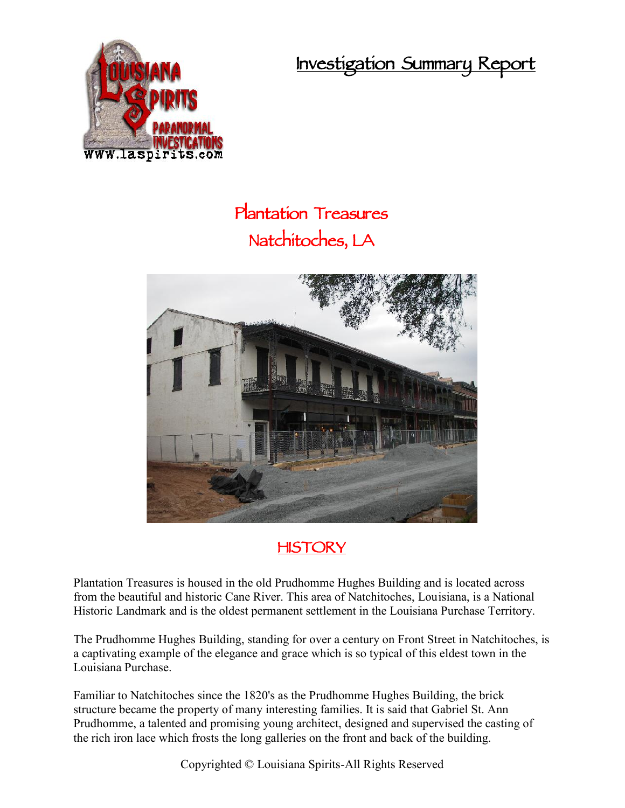**Investigation Summary Report**



## **Plantation Treasures Natchitoches, LA**



## **HISTORY**

Plantation Treasures is housed in the old Prudhomme Hughes Building and is located across from the beautiful and historic Cane River. This area of Natchitoches, Louisiana, is a National Historic Landmark and is the oldest permanent settlement in the Louisiana Purchase Territory.

The Prudhomme Hughes Building, standing for over a century on Front Street in Natchitoches, is a captivating example of the elegance and grace which is so typical of this eldest town in the Louisiana Purchase.

Familiar to Natchitoches since the 1820's as the Prudhomme Hughes Building, the brick structure became the property of many interesting families. It is said that Gabriel St. Ann Prudhomme, a talented and promising young architect, designed and supervised the casting of the rich iron lace which frosts the long galleries on the front and back of the building.

Copyrighted © Louisiana Spirits-All Rights Reserved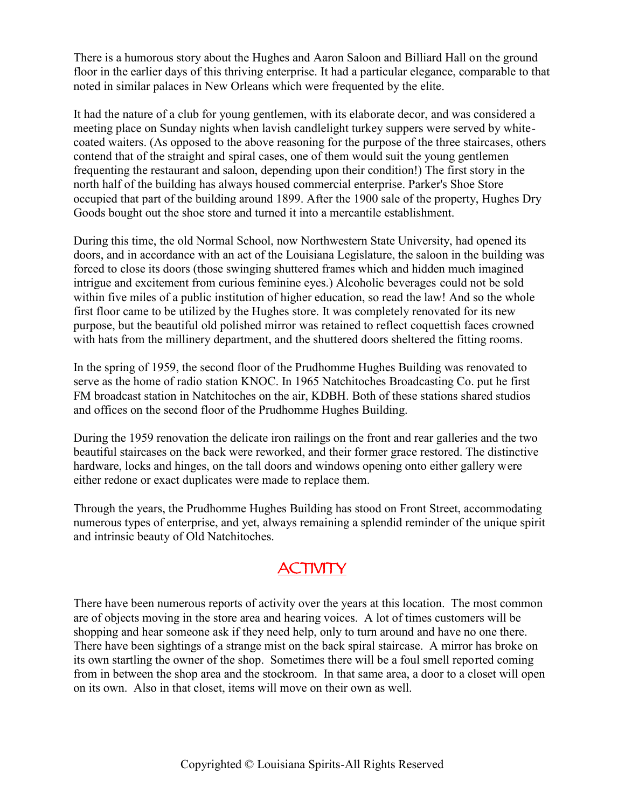There is a humorous story about the Hughes and Aaron Saloon and Billiard Hall on the ground floor in the earlier days of this thriving enterprise. It had a particular elegance, comparable to that noted in similar palaces in New Orleans which were frequented by the elite.

It had the nature of a club for young gentlemen, with its elaborate decor, and was considered a meeting place on Sunday nights when lavish candlelight turkey suppers were served by white coated waiters. (As opposed to the above reasoning for the purpose of the three staircases, others contend that of the straight and spiral cases, one of them would suit the young gentlemen frequenting the restaurant and saloon, depending upon their condition!) The first story in the north half of the building has always housed commercial enterprise. Parker's Shoe Store occupied that part of the building around 1899. After the 1900 sale of the property, Hughes Dry Goods bought out the shoe store and turned it into a mercantile establishment.

During this time, the old Normal School, now Northwestern State University, had opened its doors, and in accordance with an act of the Louisiana Legislature, the saloon in the building was forced to close its doors (those swinging shuttered frames which and hidden much imagined intrigue and excitement from curious feminine eyes.) Alcoholic beverages could not be sold within five miles of a public institution of higher education, so read the law! And so the whole first floor came to be utilized by the Hughes store. It was completely renovated for its new purpose, but the beautiful old polished mirror was retained to reflect coquettish faces crowned with hats from the millinery department, and the shuttered doors sheltered the fitting rooms.

In the spring of 1959, the second floor of the Prudhomme Hughes Building was renovated to serve as the home of radio station KNOC. In 1965 Natchitoches Broadcasting Co. put he first FM broadcast station in Natchitoches on the air, KDBH. Both of these stations shared studios and offices on the second floor of the Prudhomme Hughes Building.

During the 1959 renovation the delicate iron railings on the front and rear galleries and the two beautiful staircases on the back were reworked, and their former grace restored. The distinctive hardware, locks and hinges, on the tall doors and windows opening onto either gallery were either redone or exact duplicates were made to replace them.

Through the years, the Prudhomme Hughes Building has stood on Front Street, accommodating numerous types of enterprise, and yet, always remaining a splendid reminder of the unique spirit and intrinsic beauty of Old Natchitoches.

## **ACTIVITY**

There have been numerous reports of activity over the years at this location. The most common are of objects moving in the store area and hearing voices. A lot of times customers will be shopping and hear someone ask if they need help, only to turn around and have no one there. There have been sightings of a strange mist on the back spiral staircase. A mirror has broke on its own startling the owner of the shop. Sometimes there will be a foul smell reported coming from in between the shop area and the stockroom. In that same area, a door to a closet will open on its own. Also in that closet, items will move on their own as well.